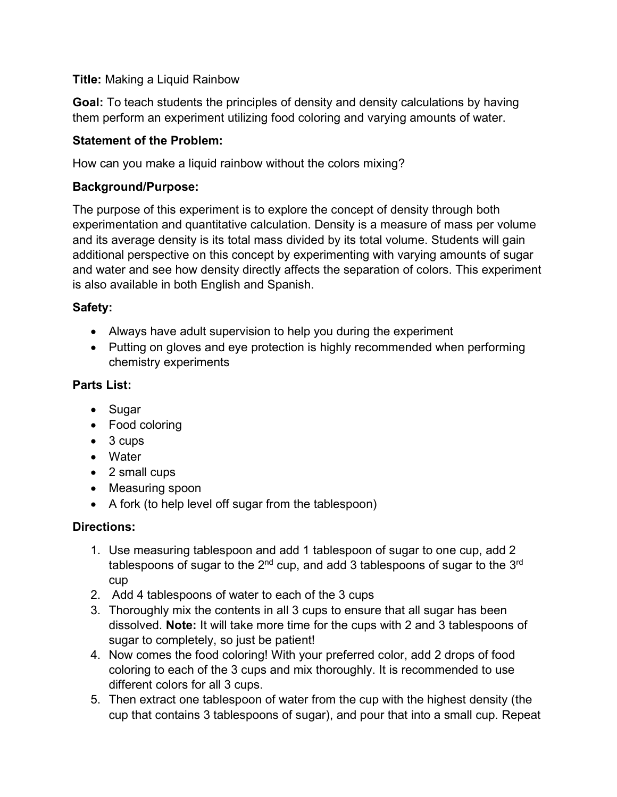### **Title:** Making a Liquid Rainbow

**Goal:** To teach students the principles of density and density calculations by having them perform an experiment utilizing food coloring and varying amounts of water.

### **Statement of the Problem:**

How can you make a liquid rainbow without the colors mixing?

### **Background/Purpose:**

The purpose of this experiment is to explore the concept of density through both experimentation and quantitative calculation. Density is a measure of mass per volume and its average density is its total mass divided by its total volume. Students will gain additional perspective on this concept by experimenting with varying amounts of sugar and water and see how density directly affects the separation of colors. This experiment is also available in both English and Spanish.

# **Safety:**

- Always have adult supervision to help you during the experiment
- Putting on gloves and eye protection is highly recommended when performing chemistry experiments

# **Parts List:**

- Sugar
- Food coloring
- 3 cups
- Water
- 2 small cups
- Measuring spoon
- A fork (to help level off sugar from the tablespoon)

### **Directions:**

- 1. Use measuring tablespoon and add 1 tablespoon of sugar to one cup, add 2 tablespoons of sugar to the  $2<sup>nd</sup>$  cup, and add 3 tablespoons of sugar to the  $3<sup>rd</sup>$ cup
- 2. Add 4 tablespoons of water to each of the 3 cups
- 3. Thoroughly mix the contents in all 3 cups to ensure that all sugar has been dissolved. **Note:** It will take more time for the cups with 2 and 3 tablespoons of sugar to completely, so just be patient!
- 4. Now comes the food coloring! With your preferred color, add 2 drops of food coloring to each of the 3 cups and mix thoroughly. It is recommended to use different colors for all 3 cups.
- 5. Then extract one tablespoon of water from the cup with the highest density (the cup that contains 3 tablespoons of sugar), and pour that into a small cup. Repeat